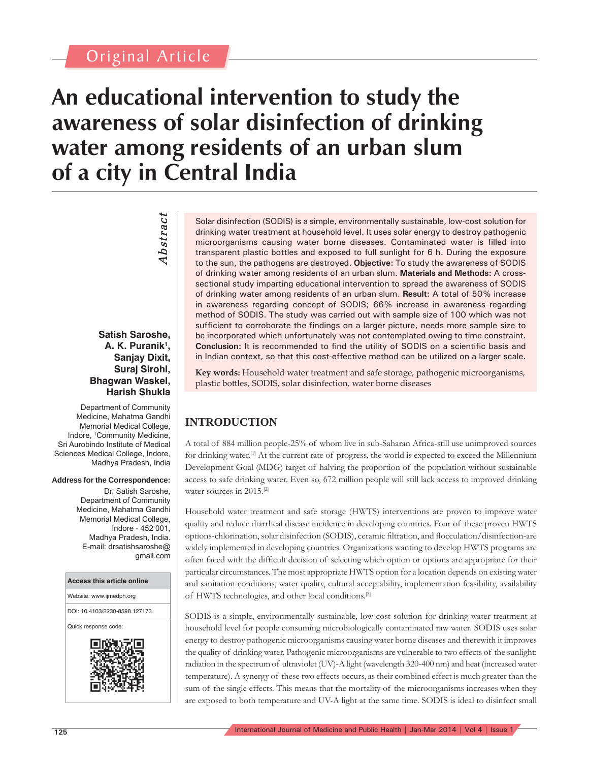# **An educational intervention to study the awareness of solar disinfection of drinking water among residents of an urban slum of a city in Central India**

*Abstract* Abstract

# **Satish Saroshe, A. K. Puranik1 , Sanjay Dixit, Suraj Sirohi, Bhagwan Waskel, Harish Shukla**

Department of Community Medicine, Mahatma Gandhi Memorial Medical College, Indore, 1 Community Medicine, Sri Aurobindo Institute of Medical Sciences Medical College, Indore, Madhya Pradesh, India

#### **Address for the Correspondence:**

 Dr. Satish Saroshe, Department of Community Medicine, Mahatma Gandhi Memorial Medical College, Indore - 452 001, Madhya Pradesh, India. E-mail: drsatishsaroshe@ gmail.com



Solar disinfection (SODIS) is a simple, environmentally sustainable, low-cost solution for drinking water treatment at household level. It uses solar energy to destroy pathogenic microorganisms causing water borne diseases. Contaminated water is filled into transparent plastic bottles and exposed to full sunlight for 6 h. During the exposure to the sun, the pathogens are destroyed. **Objective:** To study the awareness of SODIS of drinking water among residents of an urban slum. **Materials and Methods:** A crosssectional study imparting educational intervention to spread the awareness of SODIS of drinking water among residents of an urban slum. **Result:** A total of 50% increase in awareness regarding concept of SODIS; 66% increase in awareness regarding method of SODIS. The study was carried out with sample size of 100 which was not sufficient to corroborate the findings on a larger picture, needs more sample size to be incorporated which unfortunately was not contemplated owing to time constraint. **Conclusion:** It is recommended to find the utility of SODIS on a scientific basis and in Indian context, so that this cost-effective method can be utilized on a larger scale.

**Key words:** Household water treatment and safe storage, pathogenic microorganisms, plastic bottles, SODIS, solar disinfection, water borne diseases

# **INTRODUCTION**

A total of 884 million people-25% of whom live in sub-Saharan Africa-still use unimproved sources for drinking water.<sup>[1]</sup> At the current rate of progress, the world is expected to exceed the Millennium Development Goal (MDG) target of halving the proportion of the population without sustainable access to safe drinking water. Even so, 672 million people will still lack access to improved drinking water sources in 2015.<sup>[2]</sup>

Household water treatment and safe storage (HWTS) interventions are proven to improve water quality and reduce diarrheal disease incidence in developing countries. Four of these proven HWTS options-chlorination, solar disinfection (SODIS), ceramic filtration, and flocculation/disinfection-are widely implemented in developing countries. Organizations wanting to develop HWTS programs are often faced with the difficult decision of selecting which option or options are appropriate for their particular circumstances. The most appropriate HWTS option for a location depends on existing water and sanitation conditions, water quality, cultural acceptability, implementation feasibility, availability of HWTS technologies, and other local conditions.[3]

SODIS is a simple, environmentally sustainable, low-cost solution for drinking water treatment at household level for people consuming microbiologically contaminated raw water. SODIS uses solar energy to destroy pathogenic microorganisms causing water borne diseases and therewith it improves the quality of drinking water. Pathogenic microorganisms are vulnerable to two effects of the sunlight: radiation in the spectrum of ultraviolet (UV)-A light (wavelength 320-400 nm) and heat (increased water temperature). A synergy of these two effects occurs, as their combined effect is much greater than the sum of the single effects. This means that the mortality of the microorganisms increases when they are exposed to both temperature and UV-A light at the same time. SODIS is ideal to disinfect small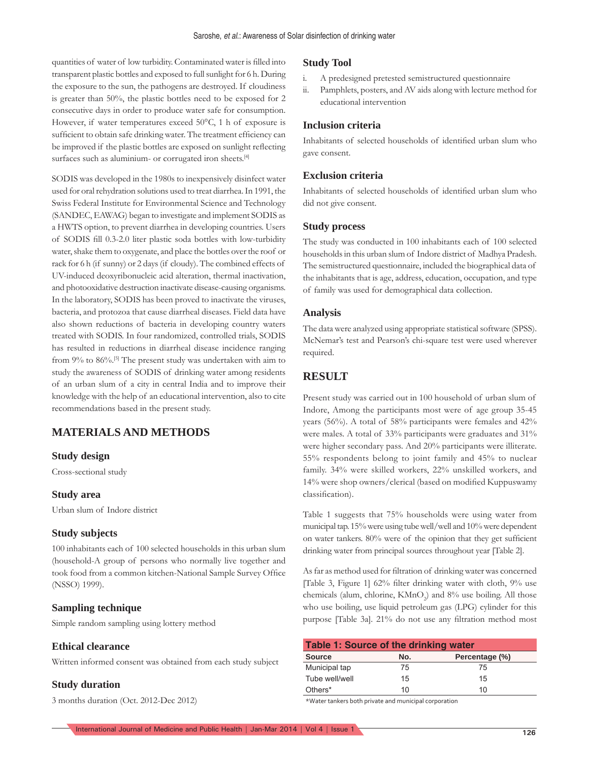quantities of water of low turbidity. Contaminated water is filled into transparent plastic bottles and exposed to full sunlight for 6 h. During the exposure to the sun, the pathogens are destroyed. If cloudiness is greater than 50%, the plastic bottles need to be exposed for 2 consecutive days in order to produce water safe for consumption. However, if water temperatures exceed 50°C, 1 h of exposure is sufficient to obtain safe drinking water. The treatment efficiency can be improved if the plastic bottles are exposed on sunlight reflecting surfaces such as aluminium- or corrugated iron sheets.<sup>[4]</sup>

SODIS was developed in the 1980s to inexpensively disinfect water used for oral rehydration solutions used to treat diarrhea. In 1991, the Swiss Federal Institute for Environmental Science and Technology (SANDEC, EAWAG) began to investigate and implement SODIS as a HWTS option, to prevent diarrhea in developing countries. Users of SODIS fill 0.3-2.0 liter plastic soda bottles with low-turbidity water, shake them to oxygenate, and place the bottles over the roof or rack for 6 h (if sunny) or 2 days (if cloudy). The combined effects of UV-induced deoxyribonucleic acid alteration, thermal inactivation, and photooxidative destruction inactivate disease-causing organisms. In the laboratory, SODIS has been proved to inactivate the viruses, bacteria, and protozoa that cause diarrheal diseases. Field data have also shown reductions of bacteria in developing country waters treated with SODIS. In four randomized, controlled trials, SODIS has resulted in reductions in diarrheal disease incidence ranging from 9% to 86%.[5] The present study was undertaken with aim to study the awareness of SODIS of drinking water among residents of an urban slum of a city in central India and to improve their knowledge with the help of an educational intervention, also to cite recommendations based in the present study.

# **MATERIALS AND METHODS**

#### **Study design**

Cross-sectional study

#### **Study area**

Urban slum of Indore district

#### **Study subjects**

100 inhabitants each of 100 selected households in this urban slum (household-A group of persons who normally live together and took food from a common kitchen-National Sample Survey Office (NSSO) 1999).

### **Sampling technique**

Simple random sampling using lottery method

#### **Ethical clearance**

Written informed consent was obtained from each study subject

#### **Study duration**

3 months duration (Oct. 2012-Dec 2012)

#### **Study Tool**

- i. A predesigned pretested semistructured questionnaire
- ii. Pamphlets, posters, and AV aids along with lecture method for educational intervention

#### **Inclusion criteria**

Inhabitants of selected households of identified urban slum who gave consent.

#### **Exclusion criteria**

Inhabitants of selected households of identified urban slum who did not give consent.

#### **Study process**

The study was conducted in 100 inhabitants each of 100 selected households in this urban slum of Indore district of Madhya Pradesh. The semistructured questionnaire, included the biographical data of the inhabitants that is age, address, education, occupation, and type of family was used for demographical data collection.

#### **Analysis**

The data were analyzed using appropriate statistical software (SPSS). McNemar's test and Pearson's chi-square test were used wherever required.

# **RESULT**

Present study was carried out in 100 household of urban slum of Indore, Among the participants most were of age group 35-45 years (56%). A total of 58% participants were females and 42% were males. A total of 33% participants were graduates and 31% were higher secondary pass. And 20% participants were illiterate. 55% respondents belong to joint family and 45% to nuclear family. 34% were skilled workers, 22% unskilled workers, and 14% were shop owners/clerical (based on modified Kuppuswamy classification).

Table 1 suggests that 75% households were using water from municipal tap. 15% were using tube well/well and 10% were dependent on water tankers. 80% were of the opinion that they get sufficient drinking water from principal sources throughout year [Table 2].

As far as method used for filtration of drinking water was concerned [Table 3, Figure 1] 62% filter drinking water with cloth, 9% use chemicals (alum, chlorine,  $KMnO<sub>2</sub>$ ) and  $8%$  use boiling. All those who use boiling, use liquid petroleum gas (LPG) cylinder for this purpose [Table 3a]. 21% do not use any filtration method most

| Table 1: Source of the drinking water |     |                |  |  |
|---------------------------------------|-----|----------------|--|--|
| <b>Source</b>                         | No. | Percentage (%) |  |  |
| Municipal tap                         | 75  | 75             |  |  |
| Tube well/well                        | 15  | 15             |  |  |
| Others*                               | 10  | 10             |  |  |

\*Water tankers both private and municipal corporation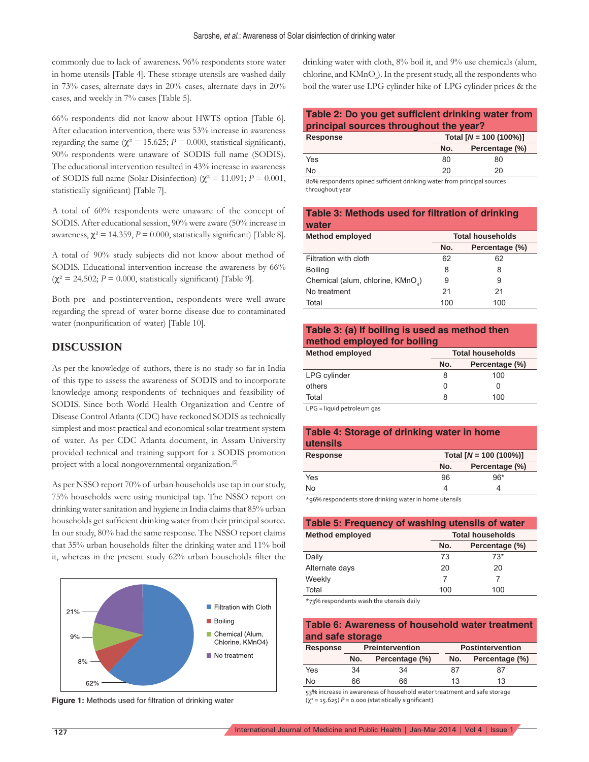commonly due to lack of awareness. 96% respondents store water in home utensils [Table 4]. These storage utensils are washed daily in 73% cases, alternate days in 20% cases, alternate days in 20% cases, and weekly in 7% cases [Table 5].

66% respondents did not know about HWTS option [Table 6]. After education intervention, there was 53% increase in awareness regarding the same ( $\chi^2 = 15.625$ ;  $P = 0.000$ , statistical significant), 90% respondents were unaware of SODIS full name (SODIS). The educational intervention resulted in 43% increase in awareness of SODIS full name (Solar Disinfection) ( $\chi^2 = 11.091$ ;  $P = 0.001$ , statistically significant) [Table 7].

A total of 60% respondents were unaware of the concept of SODIS. After educational session, 90% were aware (50% increase in awareness,  $\chi^2 = 14.359$ ,  $P = 0.000$ , statistically significant) [Table 8].

A total of 90% study subjects did not know about method of SODIS. Educational intervention increase the awareness by 66%  $(\chi^2 = 24.502; P = 0.000,$  statistically significant) [Table 9].

Both pre- and postintervention, respondents were well aware regarding the spread of water borne disease due to contaminated water (nonpurification of water) [Table 10].

# **DISCUSSION**

As per the knowledge of authors, there is no study so far in India of this type to assess the awareness of SODIS and to incorporate knowledge among respondents of techniques and feasibility of SODIS. Since both World Health Organization and Centre of Disease Control Atlanta (CDC) have reckoned SODIS as technically simplest and most practical and economical solar treatment system of water. As per CDC Atlanta document, in Assam University provided technical and training support for a SODIS promotion project with a local nongovernmental organization.[5]

As per NSSO report 70% of urban households use tap in our study, 75% households were using municipal tap. The NSSO report on drinking water sanitation and hygiene in India claims that 85% urban households get sufficient drinking water from their principal source. In our study, 80% had the same response. The NSSO report claims that 35% urban households filter the drinking water and 11% boil it, whereas in the present study 62% urban households filter the



**Figure 1:** Methods used for filtration of drinking water

drinking water with cloth, 8% boil it, and 9% use chemicals (alum, chlorine, and  $\text{KMnO}_4$ ). In the present study, all the respondents who boil the water use LPG cylinder hike of LPG cylinder prices & the

| Table 2: Do you get sufficient drinking water from<br>principal sources throughout the year? |                           |                |  |
|----------------------------------------------------------------------------------------------|---------------------------|----------------|--|
| <b>Response</b>                                                                              | Total $[N = 100 (100\%)]$ |                |  |
|                                                                                              | No.                       | Percentage (%) |  |
| Yes                                                                                          | 80                        | 80             |  |
| <b>No</b>                                                                                    | 20                        | 20             |  |

80% respondents opined sufficient drinking water from principal sources throughout year

#### **Table 3: Methods used for filtration of drinking water**

| <b>Method employed</b>                        | <b>Total households</b> |                |  |
|-----------------------------------------------|-------------------------|----------------|--|
|                                               | No.                     | Percentage (%) |  |
| Filtration with cloth                         | 62                      | 62             |  |
| <b>Boiling</b>                                | 8                       | 8              |  |
| Chemical (alum, chlorine, KMnO <sub>4</sub> ) | 9                       | 9              |  |
| No treatment                                  | 21                      | 21             |  |
| Total                                         | 100                     | 100            |  |

# **Table 3: (a) If boiling is used as method then method employed for boiling**

| Method employed                            |     | <b>Total households</b> |  |  |  |
|--------------------------------------------|-----|-------------------------|--|--|--|
|                                            | No. | Percentage (%)          |  |  |  |
| LPG cylinder                               | 8   | 100                     |  |  |  |
| others                                     |     | $\mathbf{I}$            |  |  |  |
| Total                                      | 8   | 100                     |  |  |  |
| <b>IDC</b> Resident and Containing the set |     |                         |  |  |  |

LPG = liquid petroleum gas

# **Table 4: Storage of drinking water in home utensils**

| <u>uwiwiny</u>                 |     |                           |  |  |
|--------------------------------|-----|---------------------------|--|--|
| <b>Response</b>                |     | Total $[N = 100 (100\%)]$ |  |  |
|                                | No. | Percentage (%)            |  |  |
| Yes                            | 96  | $96*$                     |  |  |
| No                             |     |                           |  |  |
| .<br>$\mathbf{r}$ $\mathbf{r}$ |     |                           |  |  |

\*96% respondents store drinking water in home utensils

| Table 5: Frequency of washing utensils of water |                         |                |  |  |
|-------------------------------------------------|-------------------------|----------------|--|--|
| <b>Method employed</b>                          | <b>Total households</b> |                |  |  |
|                                                 | No.                     | Percentage (%) |  |  |
| Daily                                           | 73                      | $73*$          |  |  |
| Alternate days                                  | 20                      | 20             |  |  |
| Weekly                                          |                         |                |  |  |
| Total                                           | 100                     | 100            |  |  |

\*73% respondents wash the utensils daily

# **Table 6: Awareness of household water treatment and safe storage**

| Response | <b>Preintervention</b> |                |     | <b>Postintervention</b> |  |
|----------|------------------------|----------------|-----|-------------------------|--|
|          | No.                    | Percentage (%) | No. | Percentage (%)          |  |
| Yes      | 34                     | 34             | 87  | 87                      |  |
| No       | 66                     | 66             | 13  | 13                      |  |

53% increase in awareness of household water treatment and safe storage  $(\chi^2 = 15.625) P = 0.000$  (statistically significant)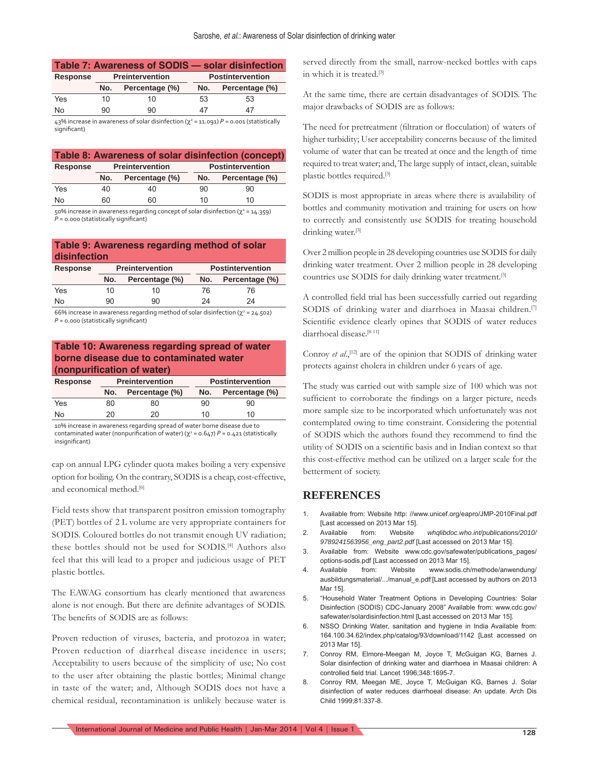| Table 7: Awareness of SODIS — solar disinfection |     |                        |     |                         |
|--------------------------------------------------|-----|------------------------|-----|-------------------------|
| <b>Response</b>                                  |     | <b>Preintervention</b> |     | <b>Postintervention</b> |
|                                                  | No. | Percentage (%)         | No. | Percentage (%)          |
| Yes                                              | 10  | 10                     | 53  | 53                      |
| No                                               | 90  | 90                     | 47  | 47                      |

43% increase in awareness of solar disinfection (χ<sup>2</sup> = 11.091) P = 0.001 (statistically significant)

| Table 8: Awareness of solar disinfection (concept) |     |                        |                         |                |
|----------------------------------------------------|-----|------------------------|-------------------------|----------------|
| <b>Response</b>                                    |     | <b>Preintervention</b> | <b>Postintervention</b> |                |
|                                                    | No. | Percentage (%)         | No.                     | Percentage (%) |
| Yes                                                | 40  | 40                     | 90                      | 90             |
| No                                                 | 60  | 60                     | 10                      | 10             |

50% increase in awareness regarding concept of solar disinfection ( $\chi^2$  = 14.359)  $P = 0.000$  (statistically significant)

#### **Table 9: Awareness regarding method of solar disinfection**

| <b>Response</b> | <b>Preintervention</b> |                |     | <b>Postintervention</b> |  |
|-----------------|------------------------|----------------|-----|-------------------------|--|
|                 | No.                    | Percentage (%) | No. | Percentage (%)          |  |
| Yes             | 10                     | 10             | 76  | 76                      |  |
| No              | 90                     | 90             | 24  | 24                      |  |

66% increase in awareness regarding method of solar disinfection ( $\chi^2$  = 24.502)  $P = 0.000$  (statistically significant)

## **Table 10: Awareness regarding spread of water borne disease due to contaminated water (nonpurifi cation of water)**

| <b>Response</b> |     | <b>Preintervention</b> |     | <b>Postintervention</b> |  |
|-----------------|-----|------------------------|-----|-------------------------|--|
|                 | No. | Percentage (%)         | No. | Percentage (%)          |  |
| Yes             | 80  | 80                     | 90  | 90                      |  |
| No              | 20  | 20.                    | 10  | 10                      |  |
|                 |     |                        |     |                         |  |

10% increase in awareness regarding spread of water borne disease due to contaminated water (nonpurification of water) ( $\chi^2$  = 0.647) *P* = 0.421 (statistically insignificant)

cap on annual LPG cylinder quota makes boiling a very expensive option for boiling. On the contrary, SODIS is a cheap, cost-effective, and economical method.<sup>[6]</sup>

Field tests show that transparent positron emission tomography (PET) bottles of 2 L volume are very appropriate containers for SODIS. Coloured bottles do not transmit enough UV radiation; these bottles should not be used for SODIS.[4] Authors also feel that this will lead to a proper and judicious usage of PET plastic bottles.

The EAWAG consortium has clearly mentioned that awareness alone is not enough. But there are definite advantages of SODIS. The benefits of SODIS are as follows:

Proven reduction of viruses, bacteria, and protozoa in water; Proven reduction of diarrheal disease incidence in users; Acceptability to users because of the simplicity of use; No cost to the user after obtaining the plastic bottles; Minimal change in taste of the water; and, Although SODIS does not have a chemical residual, recontamination is unlikely because water is served directly from the small, narrow-necked bottles with caps in which it is treated.[3]

At the same time, there are certain disadvantages of SODIS. The major drawbacks of SODIS are as follows:

The need for pretreatment (filtration or flocculation) of waters of higher turbidity; User acceptability concerns because of the limited volume of water that can be treated at once and the length of time required to treat water; and, The large supply of intact, clean, suitable plastic bottles required.[3]

SODIS is most appropriate in areas where there is availability of bottles and community motivation and training for users on how to correctly and consistently use SODIS for treating household drinking water.[3]

Over 2 million people in 28 developing countries use SODIS for daily drinking water treatment. Over 2 million people in 28 developing countries use SODIS for daily drinking water treatment.[3]

A controlled field trial has been successfully carried out regarding SODIS of drinking water and diarrhoea in Maasai children.<sup>[7]</sup> Scientific evidence clearly opines that SODIS of water reduces diarrhoeal disease.<sup>[8-11]</sup>

Conroy *et al.*,<sup>[12]</sup> are of the opinion that SODIS of drinking water protects against cholera in children under 6 years of age.

The study was carried out with sample size of 100 which was not sufficient to corroborate the findings on a larger picture, needs more sample size to be incorporated which unfortunately was not contemplated owing to time constraint. Considering the potential of SODIS which the authors found they recommend to find the utility of SODIS on a scientific basis and in Indian context so that this cost-effective method can be utilized on a larger scale for the betterment of society.

# **REFERENCES**

- 1. Available from: Website http: //www.unicef.org/eapro/JMP-2010Final.pdf [Last accessed on 2013 Mar 15].
- 2. Available from: Website *whqlibdoc.who.int/publications/2010/ 9789241563956\_eng\_part2.pdf* [Last accessed on 2013 Mar 15].
- 3. Available from: Website www.cdc.gov/safewater/publications\_pages/ options-sodis.pdf [Last accessed on 2013 Mar 15].
- 4. Available from: Website www.sodis.ch/methode/anwendung/ ausbildungsmaterial/.../manual\_e.pdf [Last accessed by authors on 2013 Mar 15].
- 5. "Household Water Treatment Options in Developing Countries: Solar Disinfection (SODIS) CDC-January 2008" Available from: www.cdc.gov/ safewater/solardisinfection.html [Last accessed on 2013 Mar 15].
- 6. NSSO Drinking Water, sanitation and hygiene in India Available from: 164.100.34.62/index.php/catalog/93/download/1142 [Last accessed on 2013 Mar 15].
- 7. Conroy RM, Elmore-Meegan M, Joyce T, McGuigan KG, Barnes J. Solar disinfection of drinking water and diarrhoea in Maasai children: A controlled field trial. Lancet 1996;348:1695-7.
- 8. Conroy RM, Meegan ME, Joyce T, McGuigan KG, Barnes J. Solar disinfection of water reduces diarrhoeal disease: An update. Arch Dis Child 1999;81:337-8.